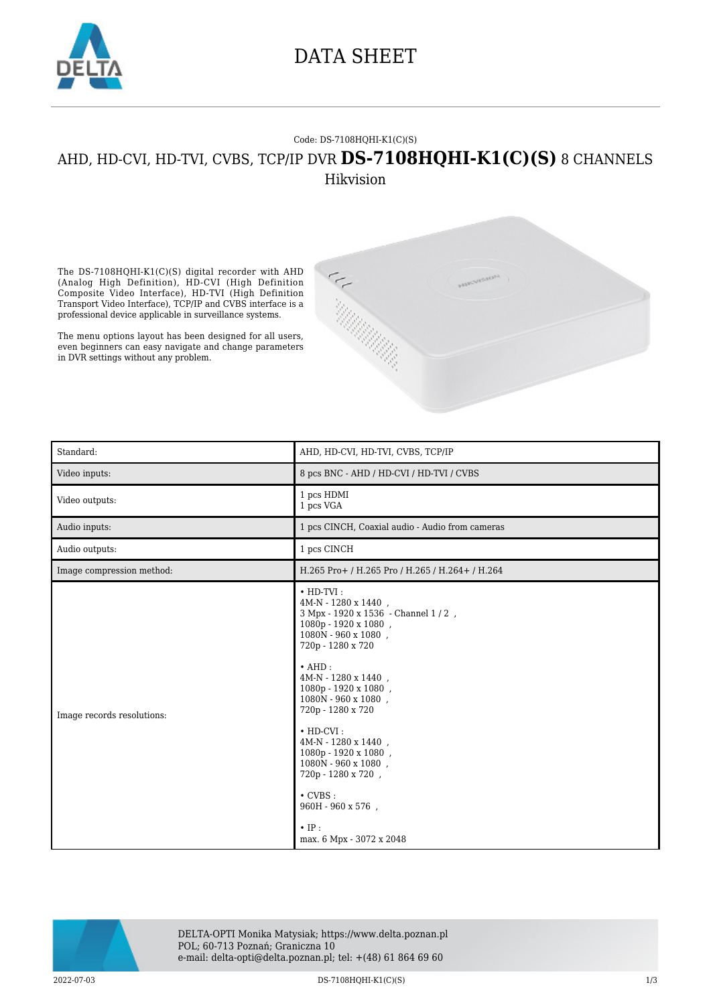

### DATA SHEET

#### Code: DS-7108HQHI-K1(C)(S)

### AHD, HD-CVI, HD-TVI, CVBS, TCP/IP DVR **DS-7108HQHI-K1(C)(S)** 8 CHANNELS Hikvision

The DS-7108HQHI-K1(C)(S) digital recorder with AHD (Analog High Definition), HD-CVI (High Definition Composite Video Interface), HD-TVI (High Definition Transport Video Interface), TCP/IP and CVBS interface is a professional device applicable in surveillance systems.

The menu options layout has been designed for all users, even beginners can easy navigate and change parameters in DVR settings without any problem.



| Standard:                  | AHD, HD-CVI, HD-TVI, CVBS, TCP/IP                                                                                                                                                                                                                                                                                                                                                                                                                                                                   |
|----------------------------|-----------------------------------------------------------------------------------------------------------------------------------------------------------------------------------------------------------------------------------------------------------------------------------------------------------------------------------------------------------------------------------------------------------------------------------------------------------------------------------------------------|
| Video inputs:              | 8 pcs BNC - AHD / HD-CVI / HD-TVI / CVBS                                                                                                                                                                                                                                                                                                                                                                                                                                                            |
| Video outputs:             | 1 pcs HDMI<br>1 pcs VGA                                                                                                                                                                                                                                                                                                                                                                                                                                                                             |
| Audio inputs:              | 1 pcs CINCH, Coaxial audio - Audio from cameras                                                                                                                                                                                                                                                                                                                                                                                                                                                     |
| Audio outputs:             | 1 pcs CINCH                                                                                                                                                                                                                                                                                                                                                                                                                                                                                         |
| Image compression method:  | H.265 Pro+ / H.265 Pro / H.265 / H.264+ / H.264                                                                                                                                                                                                                                                                                                                                                                                                                                                     |
| Image records resolutions: | $\cdot$ HD-TVI:<br>4M-N - 1280 x 1440.<br>3 Mpx - 1920 x 1536 - Channel 1 / 2,<br>1080p - 1920 x 1080,<br>1080N - 960 x 1080.<br>720p - 1280 x 720<br>$\cdot$ AHD:<br>4M-N - 1280 x 1440,<br>1080p - 1920 x 1080,<br>1080N - 960 x 1080,<br>720p - 1280 x 720<br>$\cdot$ HD-CVI:<br>$4\mathrm{M}\text{-}\mathrm{N}$ - $1280$ x $1440$ ,<br>1080p - 1920 x 1080,<br>1080N - 960 x 1080.<br>720p - 1280 x 720,<br>$\cdot$ CVBS :<br>$960H - 960 \ge 576$ ,<br>$\cdot$ IP:<br>max. 6 Mpx - 3072 x 2048 |



DELTA-OPTI Monika Matysiak; https://www.delta.poznan.pl POL; 60-713 Poznań; Graniczna 10 e-mail: delta-opti@delta.poznan.pl; tel: +(48) 61 864 69 60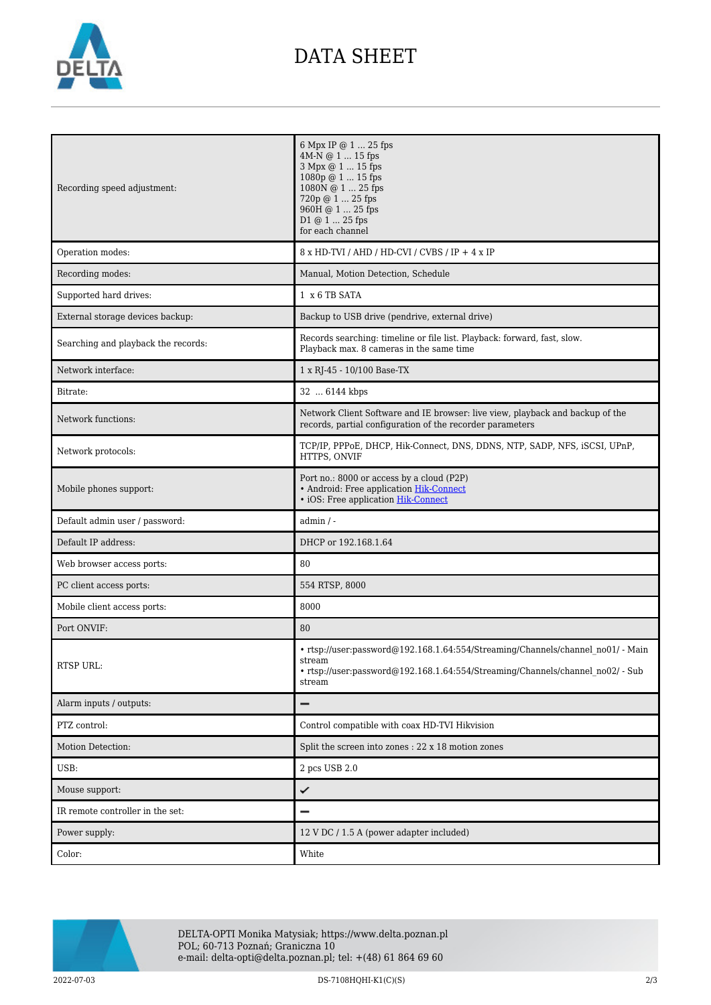

# DATA SHEET

| Recording speed adjustment:         | 6 Mpx IP @ 1  25 fps<br>4M-N @ 1  15 fps<br>3 Mpx @ 1  15 fps<br>1080p @ 1  15 fps<br>1080N @ 1  25 fps<br>720p @ 1  25 fps<br>960H @ 1  25 fps<br>D1 @ 1  25 fps<br>for each channel |
|-------------------------------------|---------------------------------------------------------------------------------------------------------------------------------------------------------------------------------------|
| Operation modes:                    | 8 x HD-TVI / AHD / HD-CVI / CVBS / IP + 4 x IP                                                                                                                                        |
| Recording modes:                    | Manual, Motion Detection, Schedule                                                                                                                                                    |
| Supported hard drives:              | 1 x 6 TB SATA                                                                                                                                                                         |
| External storage devices backup:    | Backup to USB drive (pendrive, external drive)                                                                                                                                        |
| Searching and playback the records: | Records searching: timeline or file list. Playback: forward, fast, slow.<br>Playback max. 8 cameras in the same time                                                                  |
| Network interface:                  | 1 x RJ-45 - 10/100 Base-TX                                                                                                                                                            |
| Bitrate:                            | 32  6144 kbps                                                                                                                                                                         |
| Network functions:                  | Network Client Software and IE browser: live view, playback and backup of the<br>records, partial configuration of the recorder parameters                                            |
| Network protocols:                  | TCP/IP, PPPoE, DHCP, Hik-Connect, DNS, DDNS, NTP, SADP, NFS, iSCSI, UPnP,<br>HTTPS, ONVIF                                                                                             |
| Mobile phones support:              | Port no.: 8000 or access by a cloud (P2P)<br>• Android: Free application Hik-Connect<br>• iOS: Free application Hik-Connect                                                           |
| Default admin user / password:      | $admin / -$                                                                                                                                                                           |
| Default IP address:                 | DHCP or 192.168.1.64                                                                                                                                                                  |
| Web browser access ports:           | 80                                                                                                                                                                                    |
| PC client access ports:             | 554 RTSP, 8000                                                                                                                                                                        |
| Mobile client access ports:         | 8000                                                                                                                                                                                  |
| Port ONVIF:                         | 80                                                                                                                                                                                    |
| RTSP URL:                           | • rtsp://user:password@192.168.1.64:554/Streaming/Channels/channel no01/ - Main<br>stream<br>• rtsp://user:password@192.168.1.64:554/Streaming/Channels/channel no02/ - Sub<br>stream |
| Alarm inputs / outputs:             |                                                                                                                                                                                       |
| PTZ control:                        | Control compatible with coax HD-TVI Hikvision                                                                                                                                         |
| Motion Detection:                   | Split the screen into zones : 22 x 18 motion zones                                                                                                                                    |
| USB:                                | 2 pcs USB 2.0                                                                                                                                                                         |
| Mouse support:                      | ✓                                                                                                                                                                                     |
| IR remote controller in the set:    |                                                                                                                                                                                       |
| Power supply:                       | 12 V DC / 1.5 A (power adapter included)                                                                                                                                              |
| Color:                              | White                                                                                                                                                                                 |